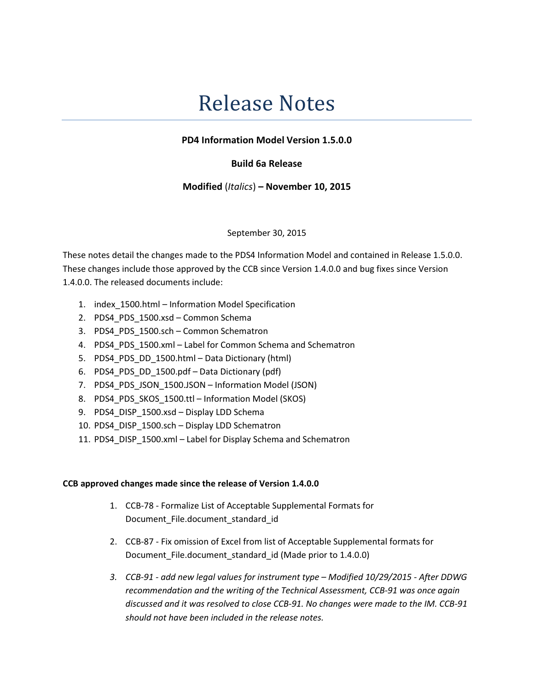# Release Notes

## PD4 Information Model Version 1.5.0.0

### Build 6a Release

### Modified (Italics) – November 10, 2015

#### September 30, 2015

These notes detail the changes made to the PDS4 Information Model and contained in Release 1.5.0.0. These changes include those approved by the CCB since Version 1.4.0.0 and bug fixes since Version 1.4.0.0. The released documents include:

- 1. index\_1500.html Information Model Specification
- 2. PDS4 PDS 1500.xsd Common Schema
- 3. PDS4\_PDS\_1500.sch Common Schematron
- 4. PDS4\_PDS\_1500.xml Label for Common Schema and Schematron
- 5. PDS4 PDS DD 1500.html Data Dictionary (html)
- 6. PDS4\_PDS\_DD\_1500.pdf Data Dictionary (pdf)
- 7. PDS4 PDS JSON 1500.JSON Information Model (JSON)
- 8. PDS4 PDS SKOS 1500.ttl Information Model (SKOS)
- 9. PDS4 DISP 1500.xsd Display LDD Schema
- 10. PDS4\_DISP\_1500.sch Display LDD Schematron
- 11. PDS4 DISP 1500.xml Label for Display Schema and Schematron

#### CCB approved changes made since the release of Version 1.4.0.0

- 1. CCB-78 Formalize List of Acceptable Supplemental Formats for Document File.document standard id
- 2. CCB-87 Fix omission of Excel from list of Acceptable Supplemental formats for Document\_File.document\_standard\_id (Made prior to 1.4.0.0)
- 3. CCB-91 add new legal values for instrument type Modified 10/29/2015 After DDWG recommendation and the writing of the Technical Assessment, CCB-91 was once again discussed and it was resolved to close CCB-91. No changes were made to the IM. CCB-91 should not have been included in the release notes.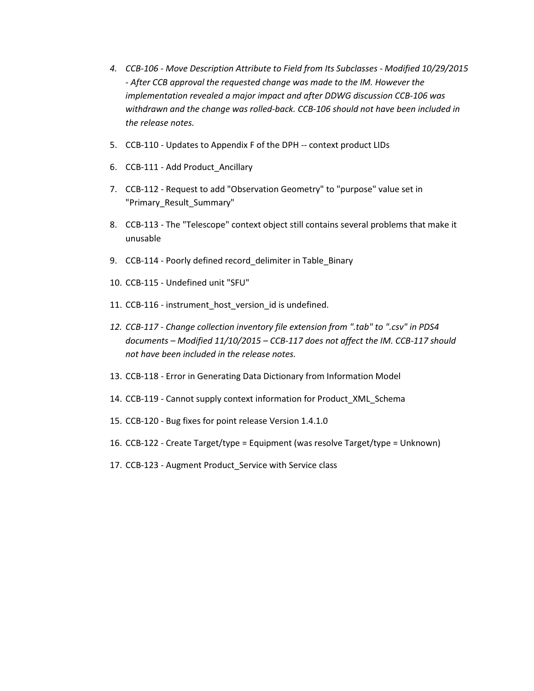- 4. CCB-106 Move Description Attribute to Field from Its Subclasses Modified 10/29/2015 - After CCB approval the requested change was made to the IM. However the implementation revealed a major impact and after DDWG discussion CCB-106 was withdrawn and the change was rolled-back. CCB-106 should not have been included in the release notes.
- 5. CCB-110 Updates to Appendix F of the DPH -- context product LIDs
- 6. CCB-111 Add Product\_Ancillary
- 7. CCB-112 Request to add "Observation Geometry" to "purpose" value set in "Primary\_Result\_Summary"
- 8. CCB-113 The "Telescope" context object still contains several problems that make it unusable
- 9. CCB-114 Poorly defined record\_delimiter in Table\_Binary
- 10. CCB-115 Undefined unit "SFU"
- 11. CCB-116 instrument\_host\_version\_id is undefined.
- 12. CCB-117 Change collection inventory file extension from ".tab" to ".csv" in PDS4 documents – Modified 11/10/2015 – CCB-117 does not affect the IM. CCB-117 should not have been included in the release notes.
- 13. CCB-118 Error in Generating Data Dictionary from Information Model
- 14. CCB-119 Cannot supply context information for Product\_XML\_Schema
- 15. CCB-120 Bug fixes for point release Version 1.4.1.0
- 16. CCB-122 Create Target/type = Equipment (was resolve Target/type = Unknown)
- 17. CCB-123 Augment Product\_Service with Service class